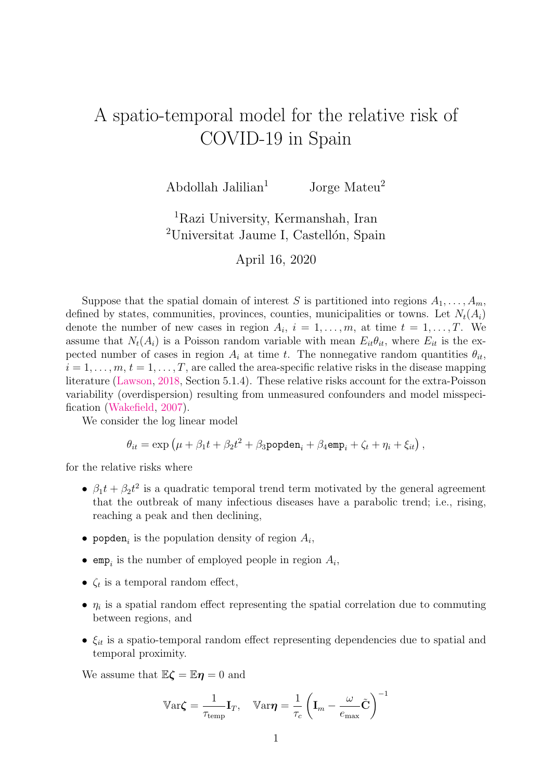## <span id="page-0-0"></span>A spatio-temporal model for the relative risk of COVID-19 in Spain

Abdollah Jalilian<sup>1</sup> Jorge Mateu<sup>2</sup>

## <sup>1</sup>Razi University, Kermanshah, Iran  $2$ Universitat Jaume I, Castellón, Spain

April 16, 2020

Suppose that the spatial domain of interest S is partitioned into regions  $A_1, \ldots, A_m$ , defined by states, communities, provinces, counties, municipalities or towns. Let  $N_t(A_i)$ denote the number of new cases in region  $A_i$ ,  $i = 1, \ldots, m$ , at time  $t = 1, \ldots, T$ . We assume that  $N_t(A_i)$  is a Poisson random variable with mean  $E_{it}\theta_{it}$ , where  $E_{it}$  is the expected number of cases in region  $A_i$  at time t. The nonnegative random quantities  $\theta_{it}$ ,  $i = 1, \ldots, m, t = 1, \ldots, T$ , are called the area-specific relative risks in the disease mapping literature [\(Lawson,](#page-1-0) [2018,](#page-1-0) Section 5.1.4). These relative risks account for the extra-Poisson variability (overdispersion) resulting from unmeasured confounders and model misspecification [\(Wakefield,](#page-1-1) [2007\)](#page-1-1).

We consider the log linear model

$$
\theta_{it} = \exp \left(\mu + \beta_1 t + \beta_2 t^2 + \beta_3 \text{popden}_i + \beta_4 \text{emp}_i + \zeta_t + \eta_i + \xi_{it}\right),
$$

for the relative risks where

- $\beta_1 t + \beta_2 t^2$  is a quadratic temporal trend term motivated by the general agreement that the outbreak of many infectious diseases have a parabolic trend; i.e., rising, reaching a peak and then declining,
- popden<sub>i</sub> is the population density of region  $A_i$ ,
- emp<sub>i</sub> is the number of employed people in region  $A_i$ ,
- $\zeta_t$  is a temporal random effect,
- $\eta_i$  is a spatial random effect representing the spatial correlation due to commuting between regions, and
- $\xi_{it}$  is a spatio-temporal random effect representing dependencies due to spatial and temporal proximity.

We assume that  $\mathbb{E}\zeta = \mathbb{E}\eta = 0$  and

$$
\mathbb{V}\text{ar}\boldsymbol{\zeta} = \frac{1}{\tau_{\text{temp}}} \mathbf{I}_T, \quad \mathbb{V}\text{ar}\boldsymbol{\eta} = \frac{1}{\tau_c} \left( \mathbf{I}_m - \frac{\omega}{e_{\text{max}}} \tilde{\mathbf{C}} \right)^{-1}
$$